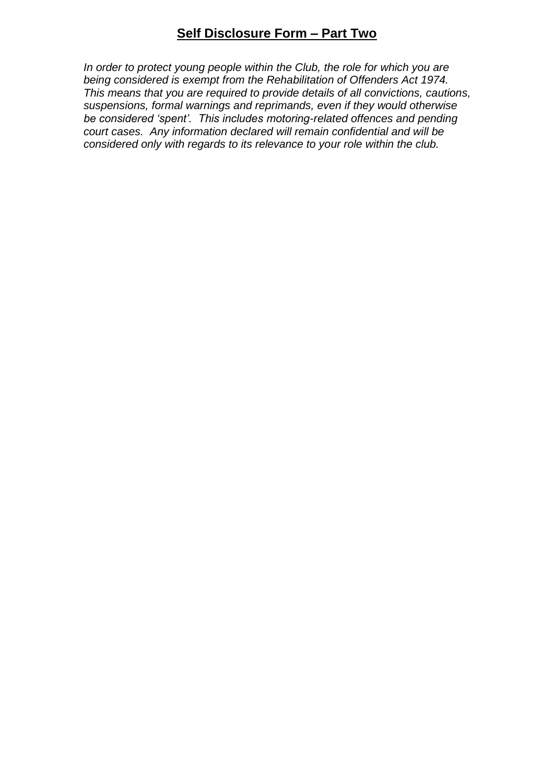## **Self Disclosure Form – Part Two**

*In order to protect young people within the Club, the role for which you are being considered is exempt from the Rehabilitation of Offenders Act 1974. This means that you are required to provide details of all convictions, cautions, suspensions, formal warnings and reprimands, even if they would otherwise be considered 'spent'. This includes motoring-related offences and pending court cases. Any information declared will remain confidential and will be considered only with regards to its relevance to your role within the club.*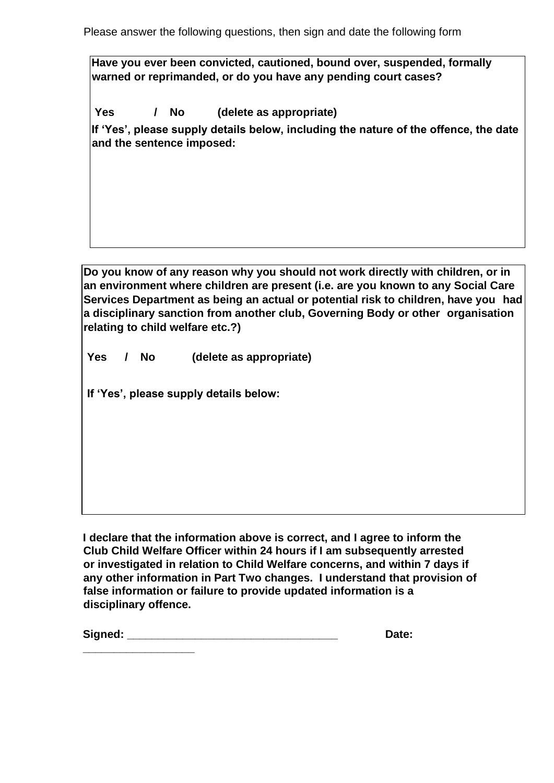Please answer the following questions, then sign and date the following form

**Have you ever been convicted, cautioned, bound over, suspended, formally warned or reprimanded, or do you have any pending court cases?** 

**Yes / No (delete as appropriate)** 

**If 'Yes', please supply details below, including the nature of the offence, the date and the sentence imposed:**

**Do you know of any reason why you should not work directly with children, or in an environment where children are present (i.e. are you known to any Social Care Services Department as being an actual or potential risk to children, have you had a disciplinary sanction from another club, Governing Body or other organisation relating to child welfare etc.?)** 

**Yes / No (delete as appropriate)** 

**If 'Yes', please supply details below:**

**\_\_\_\_\_\_\_\_\_\_\_\_\_\_\_\_\_\_** 

**I declare that the information above is correct, and I agree to inform the Club Child Welfare Officer within 24 hours if I am subsequently arrested or investigated in relation to Child Welfare concerns, and within 7 days if any other information in Part Two changes. I understand that provision of false information or failure to provide updated information is a disciplinary offence.** 

**Signed: \_\_\_\_\_\_\_\_\_\_\_\_\_\_\_\_\_\_\_\_\_\_\_\_\_\_\_\_\_\_\_\_\_\_ Date:**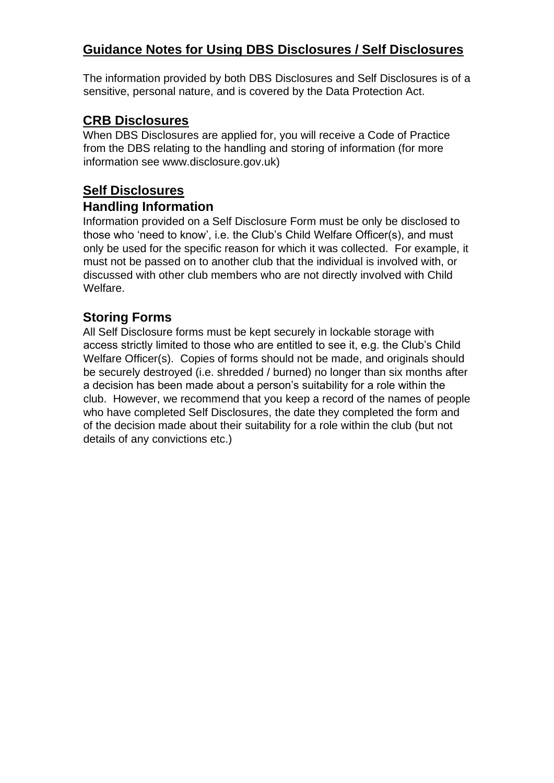## **Guidance Notes for Using DBS Disclosures / Self Disclosures**

The information provided by both DBS Disclosures and Self Disclosures is of a sensitive, personal nature, and is covered by the Data Protection Act.

### **CRB Disclosures**

When DBS Disclosures are applied for, you will receive a Code of Practice from the DBS relating to the handling and storing of information (for more information see www.disclosure.gov.uk)

# **Self Disclosures**

#### **Handling Information**

Information provided on a Self Disclosure Form must be only be disclosed to those who 'need to know', i.e. the Club's Child Welfare Officer(s), and must only be used for the specific reason for which it was collected. For example, it must not be passed on to another club that the individual is involved with, or discussed with other club members who are not directly involved with Child Welfare.

## **Storing Forms**

All Self Disclosure forms must be kept securely in lockable storage with access strictly limited to those who are entitled to see it, e.g. the Club's Child Welfare Officer(s). Copies of forms should not be made, and originals should be securely destroyed (i.e. shredded / burned) no longer than six months after a decision has been made about a person's suitability for a role within the club. However, we recommend that you keep a record of the names of people who have completed Self Disclosures, the date they completed the form and of the decision made about their suitability for a role within the club (but not details of any convictions etc.)